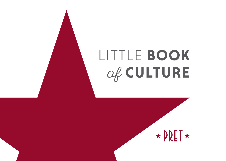# LITTLE **BOOK**  of **CULTURE**

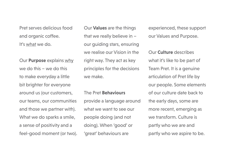Pret serves delicious food and organic coffee. It's what we do.

Our **Purpose** explains why we do this – we do this to make everyday a little bit brighter for everyone around us (our customers, our teams, our communities and those we partner with). What we do sparks a smile, a sense of positivity and a feel-good moment (or two). Our **Values** are the things that we really believe in – our guiding stars, ensuring we realise our Vision in the right way. They act as key principles for the decisions we make.

The Pret **Behaviours**

provide a language around what we want to see our people doing (and not doing). When 'good' or 'great' behaviours are

experienced, these support our Values and Purpose.

Our **Culture** describes what it's like to be part of Team Pret. It is a genuine articulation of Pret life by our people. Some elements of our culture date back to the early days, some are more recent, emerging as we transform. Culture is partly who we are and partly who we aspire to be.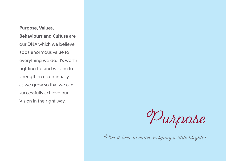### **Purpose, Values, Behaviours and Culture** are our DNA which we believe adds enormous value to everything we do. It's worth fighting for and we aim to strengthen it continually as we grow so that we can successfully achieve our Vision in the right way.



Pret is here to make everyday a little brighter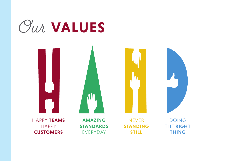

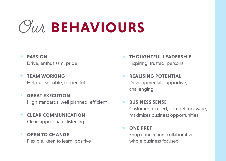# *Our* BEHAVIOURS

#### « **PASSION**

Drive, enthusiasm, pride

- « **TEAM WORKING**  Helpful, sociable, respectful
- « **GREAT EXECUTION** High standards, well planned, efficient
- **CLEAR COMMUNICATION** Clear, appropriate, listening
- « **OPEN TO CHANGE**  Flexible, keen to learn, positive
- **THOUGHTFUL LEADERSHIP** Inspiring, trusted, personal
- **REALISING POTENTIAL** Developmental, supportive, challenging
- **BUSINESS SENSE** Customer focused, competitor aware, maximises business opportunities

#### **ONE PRET**

Shop connection, collaborative, whole business focused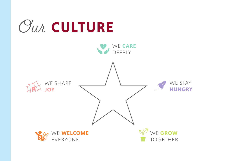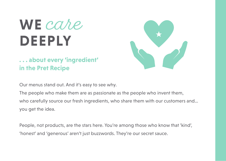# WE *cahe* **DEEPLY**

## **. . . about every 'ingredient' in the Pret Recipe**



Our menus stand out. And it's easy to see why.

The people who make them are as passionate as the people who invent them, who carefully source our fresh ingredients, who share them with our customers and… you get the idea.

People, not products, are the stars here. You're among those who know that 'kind', 'honest' and 'generous' aren't just buzzwords. They're our secret sauce.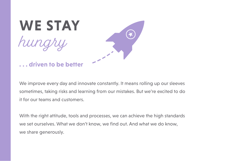

**. . . driven to be better** 

We improve every day and innovate constantly. It means rolling up our sleeves sometimes, taking risks and learning from our mistakes. But we're excited to do it for our teams and customers.

With the right attitude, tools and processes, we can achieve the high standards we set ourselves. What we don't know, we find out. And what we do know, we share generously.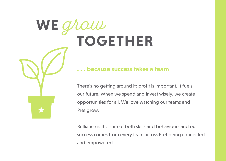# **WE** grow  **TOGETHER**

### **. . . because success takes a team**

There's no getting around it; profit is important. It fuels our future. When we spend and invest wisely, we create opportunities for all. We love watching our teams and Pret grow.

Brilliance is the sum of both skills and behaviours and our success comes from every team across Pret being connected and empowered.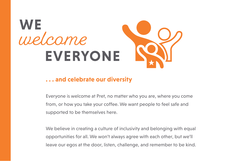

### **. . . and celebrate our diversity**

Everyone is welcome at Pret, no matter who you are, where you come from, or how you take your coffee. We want people to feel safe and supported to be themselves here.

We believe in creating a culture of inclusivity and belonging with equal opportunities for all. We won't always agree with each other, but we'll leave our egos at the door, listen, challenge, and remember to be kind.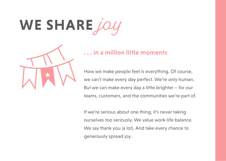# WE SHARE *jc*



### **. . . in a million little moments**

How we make people feel is everything. Of course, we can't make every day perfect. We're only human. But we can make every day a little brighter – for our teams, customers, and the communities we're part of.

If we're serious about one thing, it's never taking ourselves too seriously. We value work-life balance. We say thank you (a lot). And take every chance to generously spread joy.